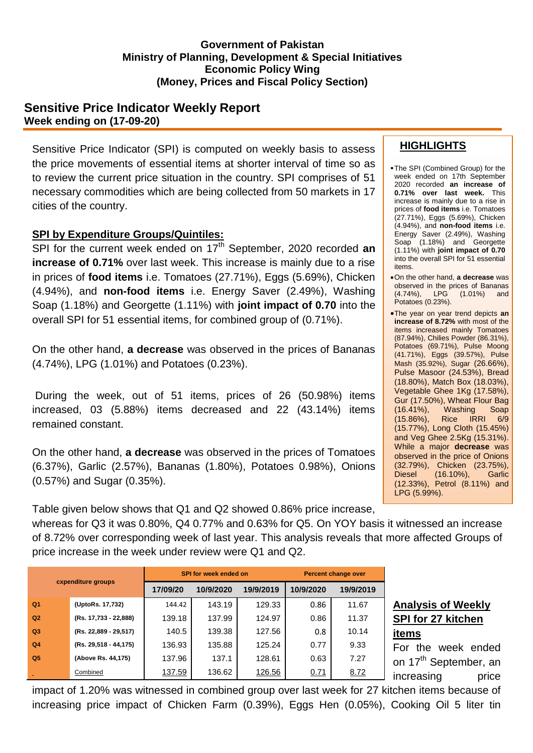#### **Government of Pakistan Ministry of Planning, Development & Special Initiatives Economic Policy Wing (Money, Prices and Fiscal Policy Section)**

## **Sensitive Price Indicator Weekly Report Week ending on (17-09-20)**

Sensitive Price Indicator (SPI) is computed on weekly basis to assess the price movements of essential items at shorter interval of time so as to review the current price situation in the country. SPI comprises of 51 necessary commodities which are being collected from 50 markets in 17 cities of the country.

### **SPI by Expenditure Groups/Quintiles:**

SPI for the current week ended on 17<sup>th</sup> September, 2020 recorded an **increase of 0.71%** over last week. This increase is mainly due to a rise in prices of **food items** i.e. Tomatoes (27.71%), Eggs (5.69%), Chicken (4.94%), and **non-food items** i.e. Energy Saver (2.49%), Washing Soap (1.18%) and Georgette (1.11%) with **joint impact of 0.70** into the overall SPI for 51 essential items, for combined group of (0.71%).

On the other hand, **a decrease** was observed in the prices of Bananas (4.74%), LPG (1.01%) and Potatoes (0.23%).

During the week, out of 51 items, prices of 26 (50.98%) items increased, 03 (5.88%) items decreased and 22 (43.14%) items remained constant.

On the other hand, **a decrease** was observed in the prices of Tomatoes (6.37%), Garlic (2.57%), Bananas (1.80%), Potatoes 0.98%), Onions (0.57%) and Sugar (0.35%).

Table given below shows that Q1 and Q2 showed 0.86% price increase,

whereas for Q3 it was 0.80%, Q4 0.77% and 0.63% for Q5. On YOY basis it witnessed an increase of 8.72% over corresponding week of last year. This analysis reveals that more affected Groups of price increase in the week under review were Q1 and Q2.

| cxpenditure groups |                       | <b>SPI for week ended on</b> |           |           | <b>Percent change over</b> |           |  |
|--------------------|-----------------------|------------------------------|-----------|-----------|----------------------------|-----------|--|
|                    |                       | 17/09/20                     | 10/9/2020 | 19/9/2019 | 10/9/2020                  | 19/9/2019 |  |
| Q <sub>1</sub>     | (UptoRs. 17,732)      | 144.42                       | 143.19    | 129.33    | 0.86                       | 11.67     |  |
| Q2                 | (Rs. 17,733 - 22,888) | 139.18                       | 137.99    | 124.97    | 0.86                       | 11.37     |  |
| Q <sub>3</sub>     | (Rs. 22,889 - 29,517) | 140.5                        | 139.38    | 127.56    | 0.8                        | 10.14     |  |
| Q <sub>4</sub>     | (Rs. 29,518 - 44,175) | 136.93                       | 135.88    | 125.24    | 0.77                       | 9.33      |  |
| Q <sub>5</sub>     | (Above Rs. 44,175)    | 137.96                       | 137.1     | 128.61    | 0.63                       | 7.27      |  |
|                    | Combined              | 137.59                       | 136.62    | 126.56    | 0.71                       | 8.72      |  |

#### **Analysis of Weekly SPI for 27 kitchen items**

For the week ended on 17<sup>th</sup> September, an increasing price

impact of 1.20% was witnessed in combined group over last week for 27 kitchen items because of increasing price impact of Chicken Farm (0.39%), Eggs Hen (0.05%), Cooking Oil 5 liter tin

## **HIGHLIGHTS**

- The SPI (Combined Group) for the week ended on 17th September 2020 recorded **an increase of 0.71% over last week.** This increase is mainly due to a rise in prices of **food items** i.e. Tomatoes (27.71%), Eggs (5.69%), Chicken (4.94%), and **non-food items** i.e. Energy Saver (2.49%), Washing Soap (1.18%) and Georgette (1.11%) with **joint impact of 0.70**  into the overall SPI for 51 essential items.
- On the other hand, **a decrease** was observed in the prices of Bananas<br>(4.74%), LPG (1.01%) and  $(4.74\%)$ , LPG Potatoes (0.23%).
- The year on year trend depicts **an increase of 8.72%** with most of the items increased mainly Tomatoes (87.94%), Chilies Powder (86.31%), Potatoes (69.71%), Pulse Moong (41.71%), Eggs (39.57%), Pulse Mash (35.92%), Sugar (26.66%), Pulse Masoor (24.53%), Bread (18.80%), Match Box (18.03%), Vegetable Ghee 1Kg (17.58%), Gur (17.50%), Wheat Flour Bag<br>(16.41%), Washing Soap (16.41%), Washing Soap (15.86%), Rice IRRI 6/9 (15.77%), Long Cloth (15.45%) and Veg Ghee 2.5Kg (15.31%). While a major **decrease** was observed in the price of Onions (32.79%), Chicken (23.75%), Diesel (16.10%), Garlic (12.33%), Petrol (8.11%) and LPG (5.99%).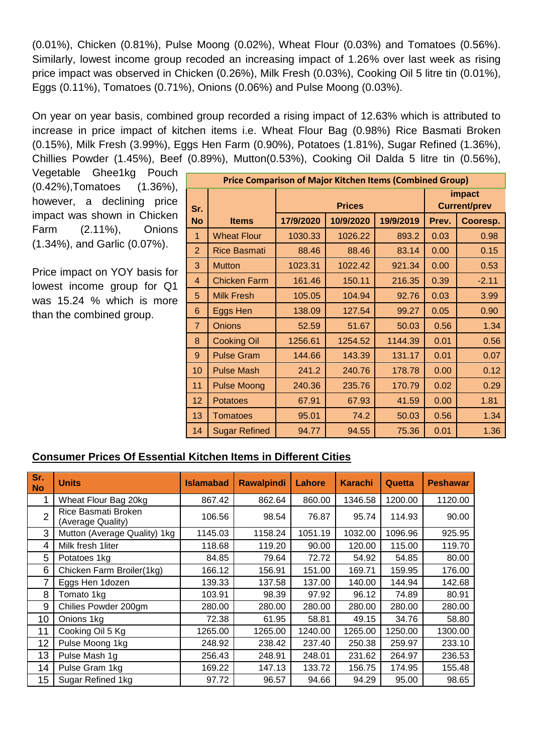(0.01%), Chicken (0.81%), Pulse Moong (0.02%), Wheat Flour (0.03%) and Tomatoes (0.56%). Similarly, lowest income group recoded an increasing impact of 1.26% over last week as rising price impact was observed in Chicken (0.26%), Milk Fresh (0.03%), Cooking Oil 5 litre tin (0.01%), Eggs (0.11%), Tomatoes (0.71%), Onions (0.06%) and Pulse Moong (0.03%).

On year on year basis, combined group recorded a rising impact of 12.63% which is attributed to increase in price impact of kitchen items i.e. Wheat Flour Bag (0.98%) Rice Basmati Broken (0.15%), Milk Fresh (3.99%), Eggs Hen Farm (0.90%), Potatoes (1.81%), Sugar Refined (1.36%), Chillies Powder (1.45%), Beef (0.89%), Mutton(0.53%), Cooking Oil Dalda 5 litre tin (0.56%),

Vegetable Ghee1kg Pouch (0.42%),Tomatoes (1.36%), however, a declining price impact was shown in Chicken Farm (2.11%), Onions (1.34%), and Garlic (0.07%).

Price impact on YOY basis for lowest income group for Q1 was 15.24 % which is more than the combined group.

| <b>Price Comparison of Major Kitchen Items (Combined Group)</b> |                      |               |           |           |                               |          |  |
|-----------------------------------------------------------------|----------------------|---------------|-----------|-----------|-------------------------------|----------|--|
| Sr.                                                             |                      | <b>Prices</b> |           |           | impact<br><b>Current/prev</b> |          |  |
| <b>No</b>                                                       | <b>Items</b>         | 17/9/2020     | 10/9/2020 | 19/9/2019 | Prev.                         | Cooresp. |  |
| 1                                                               | <b>Wheat Flour</b>   | 1030.33       | 1026.22   | 893.2     | 0.03                          | 0.98     |  |
| $\overline{2}$                                                  | <b>Rice Basmati</b>  | 88.46         | 88.46     | 83.14     | 0.00                          | 0.15     |  |
| 3                                                               | <b>Mutton</b>        | 1023.31       | 1022.42   | 921.34    | 0.00                          | 0.53     |  |
| $\overline{4}$                                                  | <b>Chicken Farm</b>  | 161.46        | 150.11    | 216.35    | 0.39                          | $-2.11$  |  |
| 5                                                               | <b>Milk Fresh</b>    | 105.05        | 104.94    | 92.76     | 0.03                          | 3.99     |  |
| 6                                                               | Eggs Hen             | 138.09        | 127.54    | 99.27     | 0.05                          | 0.90     |  |
| $\overline{7}$                                                  | <b>Onions</b>        | 52.59         | 51.67     | 50.03     | 0.56                          | 1.34     |  |
| 8                                                               | <b>Cooking Oil</b>   | 1256.61       | 1254.52   | 1144.39   | 0.01                          | 0.56     |  |
| 9                                                               | <b>Pulse Gram</b>    | 144.66        | 143.39    | 131.17    | 0.01                          | 0.07     |  |
| 10                                                              | <b>Pulse Mash</b>    | 241.2         | 240.76    | 178.78    | 0.00                          | 0.12     |  |
| 11                                                              | <b>Pulse Moong</b>   | 240.36        | 235.76    | 170.79    | 0.02                          | 0.29     |  |
| 12                                                              | <b>Potatoes</b>      | 67.91         | 67.93     | 41.59     | 0.00                          | 1.81     |  |
| 13                                                              | <b>Tomatoes</b>      | 95.01         | 74.2      | 50.03     | 0.56                          | 1.34     |  |
| 14                                                              | <b>Sugar Refined</b> | 94.77         | 94.55     | 75.36     | 0.01                          | 1.36     |  |

# **Consumer Prices Of Essential Kitchen Items in Different Cities**

| Sr.<br><b>No</b> | <b>Units</b>                             | <b>Islamabad</b> | <b>Rawalpindi</b> | Lahore  | <b>Karachi</b> | Quetta  | <b>Peshawar</b> |
|------------------|------------------------------------------|------------------|-------------------|---------|----------------|---------|-----------------|
|                  | Wheat Flour Bag 20kg                     | 867.42           | 862.64            | 860.00  | 1346.58        | 1200.00 | 1120.00         |
| $\overline{2}$   | Rice Basmati Broken<br>(Average Quality) | 106.56           | 98.54             | 76.87   | 95.74          | 114.93  | 90.00           |
| 3                | Mutton (Average Quality) 1kg             | 1145.03          | 1158.24           | 1051.19 | 1032.00        | 1096.96 | 925.95          |
| 4                | Milk fresh 1liter                        | 118.68           | 119.20            | 90.00   | 120.00         | 115.00  | 119.70          |
| 5                | Potatoes 1kg                             | 84.85            | 79.64             | 72.72   | 54.92          | 54.85   | 80.00           |
| 6                | Chicken Farm Broiler(1kg)                | 166.12           | 156.91            | 151.00  | 169.71         | 159.95  | 176.00          |
| 7                | Eggs Hen 1dozen                          | 139.33           | 137.58            | 137.00  | 140.00         | 144.94  | 142.68          |
| 8                | Tomato 1kg                               | 103.91           | 98.39             | 97.92   | 96.12          | 74.89   | 80.91           |
| 9                | Chilies Powder 200gm                     | 280.00           | 280.00            | 280.00  | 280.00         | 280.00  | 280.00          |
| 10               | Onions 1kg                               | 72.38            | 61.95             | 58.81   | 49.15          | 34.76   | 58.80           |
| 11               | Cooking Oil 5 Kg                         | 1265.00          | 1265.00           | 1240.00 | 1265.00        | 1250.00 | 1300.00         |
| 12               | Pulse Moong 1kg                          | 248.92           | 238.42            | 237.40  | 250.38         | 259.97  | 233.10          |
| 13               | Pulse Mash 1g                            | 256.43           | 248.91            | 248.01  | 231.62         | 264.97  | 236.53          |
| 14               | Pulse Gram 1kg                           | 169.22           | 147.13            | 133.72  | 156.75         | 174.95  | 155.48          |
| 15               | Sugar Refined 1kg                        | 97.72            | 96.57             | 94.66   | 94.29          | 95.00   | 98.65           |